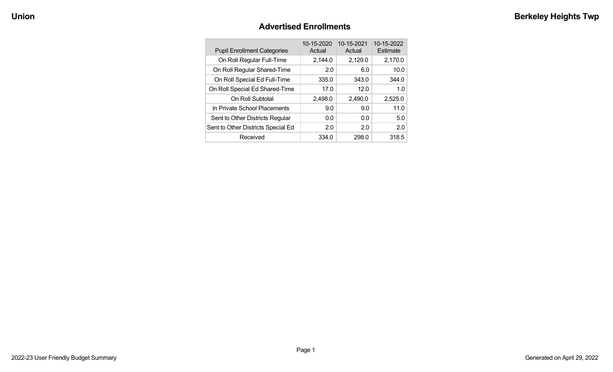#### **Advertised Enrollments**

| <b>Pupil Enrollment Categories</b> | 10-15-2020<br>Actual | 10-15-2021<br>Actual | 10-15-2022<br>Estimate |
|------------------------------------|----------------------|----------------------|------------------------|
| On Roll Regular Full-Time          | 2,144.0              | 2,129.0              | 2,170.0                |
| On Roll Regular Shared-Time        | 2.0                  | 6.0                  | 10.0                   |
| On Roll Special Ed Full-Time       | 335.0                | 343.0                | 344.0                  |
| On Roll Special Ed Shared-Time     | 17.0                 | 12.0                 | 1.0                    |
| On Roll Subtotal                   | 2,498.0              | 2,490.0              | 2,525.0                |
| In Private School Placements       | 9.0                  | 9.0                  | 11.0                   |
| Sent to Other Districts Regular    | 0.0                  | 0.0                  | 5.0                    |
| Sent to Other Districts Special Ed | 2.0                  | 2.0                  | 2.0                    |
| Received                           | 334.0                | 298.0                | 318.5                  |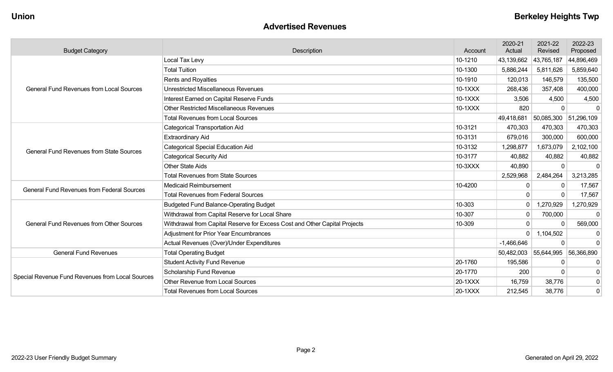| <b>Advertised Revenues</b> |  |
|----------------------------|--|
|----------------------------|--|

| <b>Budget Category</b>                                                                                                                                                                                                                     | Description                                                                | Account | 2020-21<br>Actual | 2021-22<br>Revised    | 2022-23<br>Proposed |
|--------------------------------------------------------------------------------------------------------------------------------------------------------------------------------------------------------------------------------------------|----------------------------------------------------------------------------|---------|-------------------|-----------------------|---------------------|
|                                                                                                                                                                                                                                            | Local Tax Levy                                                             | 10-1210 | 43,139,662        | 43,765,187            | 44,896,469          |
|                                                                                                                                                                                                                                            | <b>Total Tuition</b>                                                       | 10-1300 | 5,886,244         | 5,811,626             | 5,859,640           |
|                                                                                                                                                                                                                                            | Rents and Royalties                                                        | 10-1910 | 120,013           | 146,579               | 135,500             |
| <b>General Fund Revenues from Local Sources</b><br><b>General Fund Revenues from State Sources</b><br><b>General Fund Revenues from Federal Sources</b><br><b>General Fund Revenues from Other Sources</b><br><b>General Fund Revenues</b> | <b>Unrestricted Miscellaneous Revenues</b>                                 | 10-1XXX | 268,436           | 357,408               | 400,000             |
|                                                                                                                                                                                                                                            | Interest Earned on Capital Reserve Funds                                   | 10-1XXX | 3,506             | 4,500                 | 4,500               |
|                                                                                                                                                                                                                                            | <b>Other Restricted Miscellaneous Revenues</b>                             | 10-1XXX | 820               | $\Omega$              | -0                  |
|                                                                                                                                                                                                                                            | <b>Total Revenues from Local Sources</b>                                   |         | 49,418,681        | 50,085,300 51,296,109 |                     |
|                                                                                                                                                                                                                                            | <b>Categorical Transportation Aid</b>                                      | 10-3121 | 470,303           | 470,303               | 470,303             |
|                                                                                                                                                                                                                                            | <b>Extraordinary Aid</b>                                                   | 10-3131 | 679,016           | 300,000               | 600,000             |
|                                                                                                                                                                                                                                            | <b>Categorical Special Education Aid</b>                                   | 10-3132 | 1,298,877         | 1,673,079             | 2,102,100           |
|                                                                                                                                                                                                                                            | <b>Categorical Security Aid</b>                                            | 10-3177 | 40,882            | 40,882                | 40,882              |
|                                                                                                                                                                                                                                            | <b>Other State Aids</b>                                                    | 10-3XXX | 40,890            | $\Omega$              |                     |
|                                                                                                                                                                                                                                            | <b>Total Revenues from State Sources</b>                                   |         | 2,529,968         | 2,484,264             | 3,213,285           |
| Special Revenue Fund Revenues from Local Sources                                                                                                                                                                                           | <b>Medicaid Reimbursement</b>                                              | 10-4200 | $\Omega$          | $\Omega$              | 17,567              |
|                                                                                                                                                                                                                                            | <b>Total Revenues from Federal Sources</b>                                 |         |                   | $\Omega$              | 17,567              |
|                                                                                                                                                                                                                                            | <b>Budgeted Fund Balance-Operating Budget</b>                              | 10-303  | $\mathbf 0$       | 1,270,929             | 1,270,929           |
|                                                                                                                                                                                                                                            | Withdrawal from Capital Reserve for Local Share                            | 10-307  | $\mathbf{0}$      | 700,000               | $\Omega$            |
|                                                                                                                                                                                                                                            | Withdrawal from Capital Reserve for Excess Cost and Other Capital Projects | 10-309  |                   |                       | 569,000             |
|                                                                                                                                                                                                                                            | <b>Adjustment for Prior Year Encumbrances</b>                              |         | $\Omega$          | 1,104,502             | -0                  |
|                                                                                                                                                                                                                                            | Actual Revenues (Over)/Under Expenditures                                  |         | $-1,466,646$      | $\Omega$              | $\Omega$            |
|                                                                                                                                                                                                                                            | <b>Total Operating Budget</b>                                              |         | 50,482,003        | 55,644,995            | 56,366,890          |
|                                                                                                                                                                                                                                            | <b>Student Activity Fund Revenue</b>                                       | 20-1760 | 195,586           | $\Omega$              | 0                   |
|                                                                                                                                                                                                                                            | <b>Scholarship Fund Revenue</b>                                            | 20-1770 | 200               | $\Omega$              | $\mathbf{0}$        |
|                                                                                                                                                                                                                                            | Other Revenue from Local Sources                                           | 20-1XXX | 16,759            | 38,776                | $\mathbf 0$         |
|                                                                                                                                                                                                                                            | <b>Total Revenues from Local Sources</b>                                   | 20-1XXX | 212,545           | 38,776                | $\mathbf 0$         |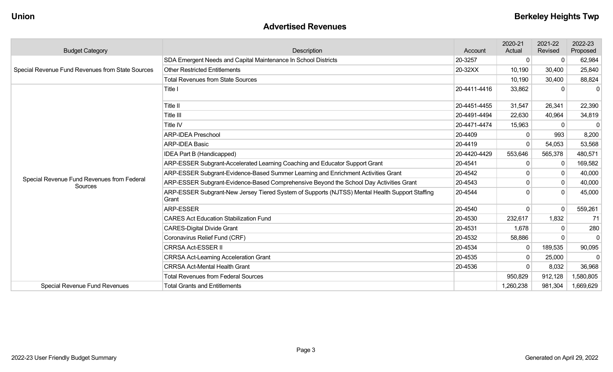#### **Advertised Revenues**

| <b>Budget Category</b>                                                                                    | Description                                                                                             | Account      | 2020-21<br>Actual | 2021-22<br>Revised | 2022-23<br>Proposed |
|-----------------------------------------------------------------------------------------------------------|---------------------------------------------------------------------------------------------------------|--------------|-------------------|--------------------|---------------------|
| Special Revenue Fund Revenues from State Sources<br>Special Revenue Fund Revenues from Federal<br>Sources | SDA Emergent Needs and Capital Maintenance In School Districts                                          | 20-3257      | 0                 | $\Omega$           | 62,984              |
|                                                                                                           | <b>Other Restricted Entitlements</b>                                                                    | 20-32XX      | 10,190            | 30,400             | 25,840              |
|                                                                                                           | <b>Total Revenues from State Sources</b>                                                                |              | 10,190            | 30,400             | 88,824              |
|                                                                                                           | Title I                                                                                                 | 20-4411-4416 | 33,862            | $\Omega$           | $\Omega$            |
|                                                                                                           | Title II                                                                                                | 20-4451-4455 | 31,547            | 26,341             | 22,390              |
|                                                                                                           | Title III                                                                                               | 20-4491-4494 | 22,630            | 40,964             | 34,819              |
|                                                                                                           | Title IV                                                                                                | 20-4471-4474 | 15,963            |                    | $\Omega$            |
|                                                                                                           | <b>ARP-IDEA Preschool</b>                                                                               | 20-4409      | $\Omega$          | 993                | 8,200               |
|                                                                                                           | <b>ARP-IDEA Basic</b>                                                                                   | 20-4419      | $\Omega$          | 54,053             | 53,568              |
|                                                                                                           | <b>IDEA Part B (Handicapped)</b>                                                                        | 20-4420-4429 | 553,646           | 565,378            | 480,571             |
|                                                                                                           | ARP-ESSER Subgrant-Accelerated Learning Coaching and Educator Support Grant                             | 20-4541      | 0                 | -0                 | 169,582             |
|                                                                                                           | ARP-ESSER Subgrant-Evidence-Based Summer Learning and Enrichment Activities Grant                       | 20-4542      | $\Omega$          | $\Omega$           | 40,000              |
|                                                                                                           | ARP-ESSER Subgrant-Evidence-Based Comprehensive Beyond the School Day Activities Grant                  | 20-4543      | 0                 | $\mathbf{0}$       | 40,000              |
|                                                                                                           | ARP-ESSER Subgrant-New Jersey Tiered System of Supports (NJTSS) Mental Health Support Staffing<br>Grant | 20-4544      | <sup>0</sup>      |                    | 45,000              |
|                                                                                                           | <b>ARP-ESSER</b>                                                                                        | 20-4540      | $\mathbf{0}$      | -0                 | 559,261             |
|                                                                                                           | <b>CARES Act Education Stabilization Fund</b>                                                           | 20-4530      | 232,617           | 1,832              | 71                  |
|                                                                                                           | <b>CARES-Digital Divide Grant</b>                                                                       | 20-4531      | 1,678             | $\Omega$           | 280                 |
|                                                                                                           | Coronavirus Relief Fund (CRF)                                                                           | 20-4532      | 58,886            | $\Omega$           | $\Omega$            |
|                                                                                                           | <b>CRRSA Act-ESSER II</b>                                                                               | 20-4534      | $\Omega$          | 189,535            | 90,095              |
|                                                                                                           | <b>CRRSA Act-Learning Acceleration Grant</b>                                                            | 20-4535      | 0                 | 25,000             | $\Omega$            |
|                                                                                                           | <b>CRRSA Act-Mental Health Grant</b>                                                                    | 20-4536      | $\Omega$          | 8,032              | 36,968              |
|                                                                                                           | <b>Total Revenues from Federal Sources</b>                                                              |              | 950,829           | 912,128            | 1,580,805           |
| Special Revenue Fund Revenues                                                                             | <b>Total Grants and Entitlements</b>                                                                    |              | 1,260,238         | 981,304            | 1,669,629           |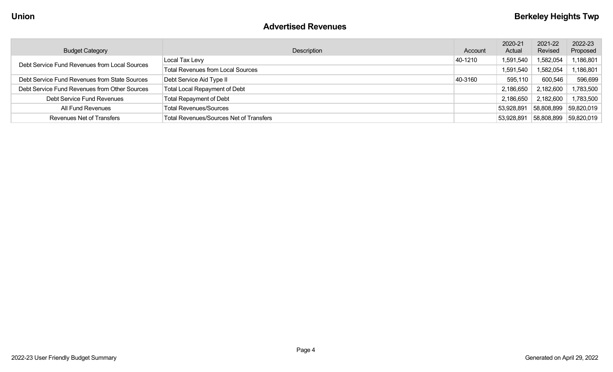#### **Advertised Revenues**

| <b>Budget Category</b>                        | Description                                    | Account | 2020-21<br>Actual | 2021-22<br>Revised | 2022-23<br>Proposed |
|-----------------------------------------------|------------------------------------------------|---------|-------------------|--------------------|---------------------|
| Debt Service Fund Revenues from Local Sources | Local Tax Levy                                 | 40-1210 | 1,591,540         | 1,582,054          | 1,186,801           |
|                                               | <b>Total Revenues from Local Sources</b>       |         | 1,591,540         | 1,582,054          | 1,186,801           |
| Debt Service Fund Revenues from State Sources | Debt Service Aid Type II                       | 40-3160 | 595,110           | 600,546            | 596,699             |
| Debt Service Fund Revenues from Other Sources | <b>Total Local Repayment of Debt</b>           |         | 2,186,650         | 2,182,600          | 1,783,500           |
| Debt Service Fund Revenues                    | <b>Total Repayment of Debt</b>                 |         | 2,186,650         | 2,182,600          | 1,783,500           |
| All Fund Revenues                             | <b>Total Revenues/Sources</b>                  |         | 53,928,891        | 58,808,899         | 59,820,019          |
| <b>Revenues Net of Transfers</b>              | <b>Total Revenues/Sources Net of Transfers</b> |         | 53,928,891        | 58,808,899         | 59,820,019          |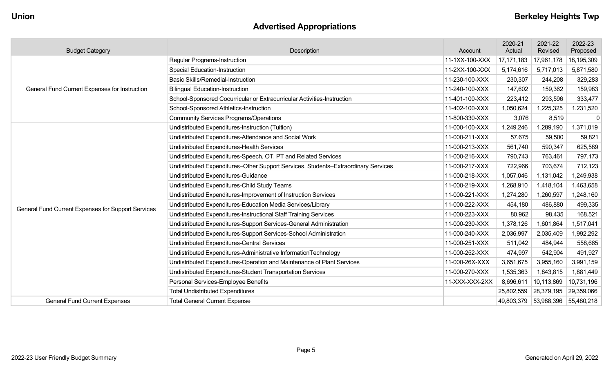# **Advertised Appropriations**

| <b>Budget Category</b>                               | Description                                                                        | Account        | 2020-21<br>Actual | 2021-22<br>Revised    | 2022-23<br>Proposed |
|------------------------------------------------------|------------------------------------------------------------------------------------|----------------|-------------------|-----------------------|---------------------|
|                                                      | Regular Programs-Instruction                                                       | 11-1XX-100-XXX | 17, 171, 183      | 17,961,178            | 18,195,309          |
|                                                      | <b>Special Education-Instruction</b>                                               | 11-2XX-100-XXX | 5,174,616         | 5,717,013             | 5,871,580           |
| <b>General Fund Current Expenses for Instruction</b> | <b>Basic Skills/Remedial-Instruction</b>                                           | 11-230-100-XXX | 230,307           | 244,208               | 329,283             |
|                                                      | <b>Bilingual Education-Instruction</b>                                             | 11-240-100-XXX | 147,602           | 159,362               | 159,983             |
|                                                      | School-Sponsored Cocurricular or Extracurricular Activities-Instruction            | 11-401-100-XXX | 223,412           | 293,596               | 333,477             |
|                                                      | School-Sponsored Athletics-Instruction                                             | 11-402-100-XXX | 1,050,624         | 1,225,325             | 1,231,520           |
|                                                      | <b>Community Services Programs/Operations</b>                                      | 11-800-330-XXX | 3,076             | 8,519                 | - 0                 |
|                                                      | Undistributed Expenditures-Instruction (Tuition)                                   | 11-000-100-XXX | 1,249,246         | 1,289,190             | 1,371,019           |
|                                                      | Undistributed Expenditures-Attendance and Social Work                              | 11-000-211-XXX | 57,675            | 59,500                | 59,821              |
|                                                      | Undistributed Expenditures-Health Services                                         | 11-000-213-XXX | 561,740           | 590,347               | 625,589             |
|                                                      | Undistributed Expenditures-Speech, OT, PT and Related Services                     | 11-000-216-XXX | 790,743           | 763,461               | 797,173             |
|                                                      | Undistributed Expenditures-Other Support Services, Students-Extraordinary Services | 11-000-217-XXX | 722,966           | 703,674               | 712,123             |
|                                                      | Undistributed Expenditures-Guidance                                                | 11-000-218-XXX | 1,057,046         | 1,131,042             | 1,249,938           |
|                                                      | Undistributed Expenditures-Child Study Teams                                       | 11-000-219-XXX | 1,268,910         | 1,418,104             | 1,463,658           |
|                                                      | Undistributed Expenditures-Improvement of Instruction Services                     | 11-000-221-XXX | 1,274,280         | 1,260,597             | 1,248,160           |
| General Fund Current Expenses for Support Services   | Undistributed Expenditures-Education Media Services/Library                        | 11-000-222-XXX | 454,180           | 486,880               | 499,335             |
|                                                      | Undistributed Expenditures-Instructional Staff Training Services                   | 11-000-223-XXX | 80,962            | 98,435                | 168,521             |
|                                                      | Undistributed Expenditures-Support Services-General Administration                 | 11-000-230-XXX | 1,378,126         | 1,601,864             | 1,517,041           |
|                                                      | Undistributed Expenditures-Support Services-School Administration                  | 11-000-240-XXX | 2,036,997         | 2,035,409             | 1,992,292           |
|                                                      | Undistributed Expenditures-Central Services                                        | 11-000-251-XXX | 511,042           | 484,944               | 558,665             |
|                                                      | Undistributed Expenditures-Administrative InformationTechnology                    | 11-000-252-XXX | 474,997           | 542,904               | 491,927             |
|                                                      | Undistributed Expenditures-Operation and Maintenance of Plant Services             | 11-000-26X-XXX | 3,651,675         | 3,955,160             | 3,991,159           |
|                                                      | Undistributed Expenditures-Student Transportation Services                         | 11-000-270-XXX | 1,535,363         | 1,843,815             | 1,881,449           |
|                                                      | Personal Services-Employee Benefits                                                | 11-XXX-XXX-2XX | 8,696,611         | 10,113,869            | 10,731,196          |
|                                                      | <b>Total Undistributed Expenditures</b>                                            |                | 25,802,559        | 28,379,195            | 29,359,066          |
| <b>General Fund Current Expenses</b>                 | <b>Total General Current Expense</b>                                               |                |                   | 49,803,379 53,988,396 | 55,480,218          |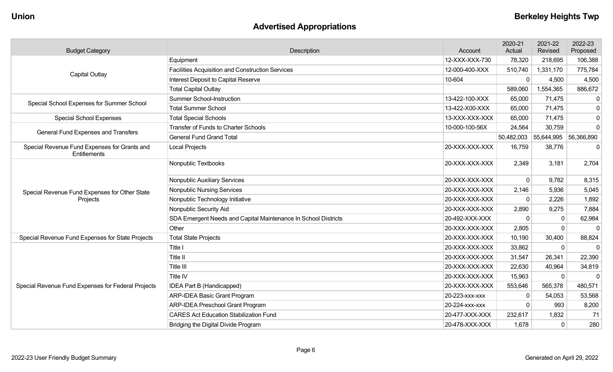# **Advertised Appropriations**

| <b>Budget Category</b>                                                                                                                                                                                                                                                                                                                                                                    | Description                                                    | Account        | 2020-21<br>Actual | 2021-22<br>Revised               | 2022-23<br>Proposed |
|-------------------------------------------------------------------------------------------------------------------------------------------------------------------------------------------------------------------------------------------------------------------------------------------------------------------------------------------------------------------------------------------|----------------------------------------------------------------|----------------|-------------------|----------------------------------|---------------------|
|                                                                                                                                                                                                                                                                                                                                                                                           | Equipment                                                      | 12-XXX-XXX-730 | 78,320            | 218,695                          | 106,388             |
| <b>Capital Outlay</b><br>Special School Expenses for Summer School<br><b>Special School Expenses</b><br>General Fund Expenses and Transfers<br>Special Revenue Fund Expenses for Grants and<br><b>Entitlements</b><br>Special Revenue Fund Expenses for Other State<br>Projects<br>Special Revenue Fund Expenses for State Projects<br>Special Revenue Fund Expenses for Federal Projects | <b>Facilities Acquisition and Construction Services</b>        | 12-000-400-XXX | 510,740           | 1,331,170                        | 775,784             |
|                                                                                                                                                                                                                                                                                                                                                                                           | Interest Deposit to Capital Reserve                            | 10-604         | $\mathbf{0}$      | 4,500                            | 4,500               |
|                                                                                                                                                                                                                                                                                                                                                                                           | <b>Total Capital Outlay</b>                                    |                | 589,060           | 1,554,365                        | 886,672             |
|                                                                                                                                                                                                                                                                                                                                                                                           | <b>Summer School-Instruction</b>                               | 13-422-100-XXX | 65,000            | 71,475                           | 0                   |
|                                                                                                                                                                                                                                                                                                                                                                                           | <b>Total Summer School</b>                                     | 13-422-X00-XXX | 65,000            | 71,475                           | $\mathbf 0$         |
|                                                                                                                                                                                                                                                                                                                                                                                           | <b>Total Special Schools</b>                                   | 13-XXX-XXX-XXX | 65,000            | 71,475                           | $\overline{0}$      |
|                                                                                                                                                                                                                                                                                                                                                                                           | <b>Transfer of Funds to Charter Schools</b>                    | 10-000-100-56X | 24,564            | 30,759                           | $\overline{0}$      |
|                                                                                                                                                                                                                                                                                                                                                                                           | <b>General Fund Grand Total</b>                                |                |                   | 50,482,003 55,644,995 56,366,890 |                     |
|                                                                                                                                                                                                                                                                                                                                                                                           | Local Projects                                                 | 20-XXX-XXX-XXX | 16,759            | 38,776                           | $\pmb{0}$           |
|                                                                                                                                                                                                                                                                                                                                                                                           | Nonpublic Textbooks                                            | 20-XXX-XXX-XXX | 2,349             | 3,181                            | 2,704               |
|                                                                                                                                                                                                                                                                                                                                                                                           | Nonpublic Auxiliary Services                                   | 20-XXX-XXX-XXX | $\mathbf 0$       | 9,782                            | 8,315               |
|                                                                                                                                                                                                                                                                                                                                                                                           | <b>Nonpublic Nursing Services</b>                              | 20-XXX-XXX-XXX | 2,146             | 5,936                            | 5,045               |
|                                                                                                                                                                                                                                                                                                                                                                                           | Nonpublic Technology Initiative                                | 20-XXX-XXX-XXX | $\Omega$          | 2,226                            | 1,892               |
|                                                                                                                                                                                                                                                                                                                                                                                           | Nonpublic Security Aid                                         | 20-XXX-XXX-XXX | 2,890             | 9,275                            | 7,884               |
|                                                                                                                                                                                                                                                                                                                                                                                           | SDA Emergent Needs and Capital Maintenance In School Districts | 20-492-XXX-XXX | $\Omega$          | 0                                | 62,984              |
|                                                                                                                                                                                                                                                                                                                                                                                           | Other                                                          | 20-XXX-XXX-XXX | 2,805             | $\mathbf{0}$                     | $\mathbf{0}$        |
|                                                                                                                                                                                                                                                                                                                                                                                           | <b>Total State Projects</b>                                    | 20-XXX-XXX-XXX | 10,190            | 30,400                           | 88,824              |
|                                                                                                                                                                                                                                                                                                                                                                                           | Title I                                                        | 20-XXX-XXX-XXX | 33,862            | $\mathbf 0$                      | $\mathbf 0$         |
|                                                                                                                                                                                                                                                                                                                                                                                           | Title II                                                       | 20-XXX-XXX-XXX | 31,547            | 26,341                           | 22,390              |
|                                                                                                                                                                                                                                                                                                                                                                                           | Title III                                                      | 20-XXX-XXX-XXX | 22,630            | 40,964                           | 34,819              |
|                                                                                                                                                                                                                                                                                                                                                                                           | Title IV                                                       | 20-XXX-XXX-XXX | 15,963            | $\Omega$                         | $\Omega$            |
|                                                                                                                                                                                                                                                                                                                                                                                           | <b>IDEA Part B (Handicapped)</b>                               | 20-XXX-XXX-XXX | 553,646           | 565,378                          | 480,571             |
|                                                                                                                                                                                                                                                                                                                                                                                           | <b>ARP-IDEA Basic Grant Program</b>                            | 20-223-xxx-xxx | 0                 | 54,053                           | 53,568              |
|                                                                                                                                                                                                                                                                                                                                                                                           | <b>ARP-IDEA Preschool Grant Program</b>                        | 20-224-xxx-xxx | $\mathbf 0$       | 993                              | 8,200               |
|                                                                                                                                                                                                                                                                                                                                                                                           | <b>CARES Act Education Stabilization Fund</b>                  | 20-477-XXX-XXX | 232,617           | 1,832                            | 71                  |
|                                                                                                                                                                                                                                                                                                                                                                                           | Bridging the Digital Divide Program                            | 20-478-XXX-XXX | 1,678             | $\Omega$                         | 280                 |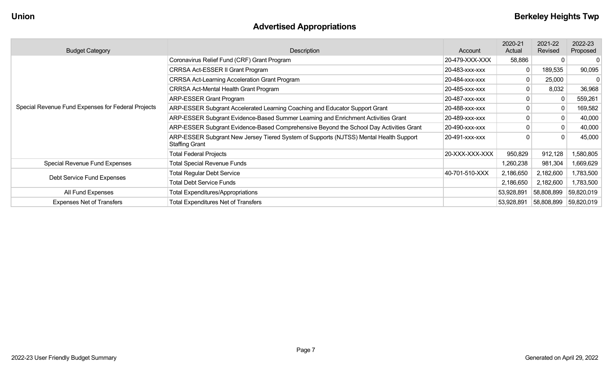# **Advertised Appropriations**

| <b>Budget Category</b>                             | Description                                                                                                    | Account        | 2020-21<br>Actual | 2021-22<br>Revised | 2022-23<br>Proposed |
|----------------------------------------------------|----------------------------------------------------------------------------------------------------------------|----------------|-------------------|--------------------|---------------------|
|                                                    | Coronavirus Relief Fund (CRF) Grant Program                                                                    | 20-479-XXX-XXX | 58,886            |                    |                     |
|                                                    | CRRSA Act-ESSER II Grant Program                                                                               | 20-483-xxx-xxx |                   | 189,535            | 90,095              |
|                                                    | <b>CRRSA Act-Learning Acceleration Grant Program</b>                                                           | 20-484-xxx-xxx |                   | 25,000             |                     |
|                                                    | <b>CRRSA Act-Mental Health Grant Program</b>                                                                   | 20-485-xxx-xxx |                   | 8,032              | 36,968              |
|                                                    | <b>ARP-ESSER Grant Program</b>                                                                                 | 20-487-xxx-xxx |                   |                    | 559,261             |
| Special Revenue Fund Expenses for Federal Projects | ARP-ESSER Subgrant Accelerated Learning Coaching and Educator Support Grant                                    | 20-488-xxx-xxx |                   |                    | 169,582             |
|                                                    | ARP-ESSER Subgrant Evidence-Based Summer Learning and Enrichment Activities Grant                              | 20-489-xxx-xxx |                   |                    | 40,000              |
|                                                    | ARP-ESSER Subgrant Evidence-Based Comprehensive Beyond the School Day Activities Grant                         | 20-490-XXX-XXX |                   |                    | 40,000              |
|                                                    | ARP-ESSER Subgrant New Jersey Tiered System of Supports (NJTSS) Mental Health Support<br><b>Staffing Grant</b> | 20-491-xxx-xxx |                   | 0                  | 45,000              |
|                                                    | <b>Total Federal Projects</b>                                                                                  | 20-XXX-XXX-XXX | 950,829           | 912,128            | 1,580,805           |
| Special Revenue Fund Expenses                      | <b>Total Special Revenue Funds</b>                                                                             |                | 1,260,238         | 981,304            | 1,669,629           |
|                                                    | <b>Total Regular Debt Service</b>                                                                              | 40-701-510-XXX | 2,186,650         | 2,182,600          | 1,783,500           |
| Debt Service Fund Expenses                         | <b>Total Debt Service Funds</b>                                                                                |                | 2,186,650         | 2,182,600          | 1,783,500           |
| All Fund Expenses                                  | <b>Total Expenditures/Appropriations</b>                                                                       |                | 53,928,891        | 58,808,899         | 59,820,019          |
| <b>Expenses Net of Transfers</b>                   | <b>Total Expenditures Net of Transfers</b>                                                                     |                | 53,928,891        | 58,808,899         | 59,820,019          |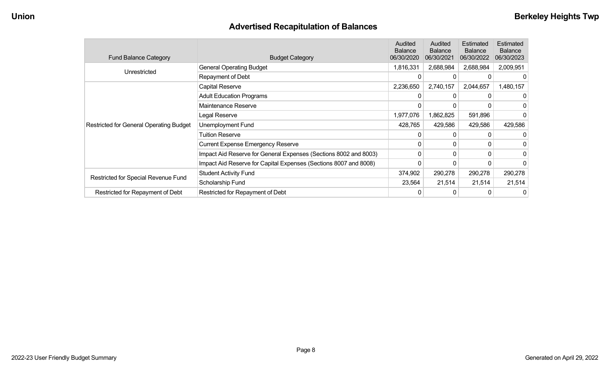# **Advertised Recapitulation of Balances**

| <b>Fund Balance Category</b>                   | <b>Budget Category</b>                                           | <b>Audited</b><br><b>Balance</b><br>06/30/2020 | Audited<br><b>Balance</b><br>06/30/2021 | Estimated<br><b>Balance</b><br>06/30/2022 | Estimated<br><b>Balance</b><br>06/30/2023 |
|------------------------------------------------|------------------------------------------------------------------|------------------------------------------------|-----------------------------------------|-------------------------------------------|-------------------------------------------|
|                                                | <b>General Operating Budget</b>                                  | 1,816,331                                      | 2,688,984                               | 2,688,984                                 | 2,009,951                                 |
| Unrestricted                                   | Repayment of Debt                                                |                                                |                                         |                                           |                                           |
|                                                | Capital Reserve                                                  | 2,236,650                                      | 2,740,157                               | 2,044,657                                 | 1,480,157                                 |
|                                                | <b>Adult Education Programs</b>                                  |                                                |                                         |                                           | 0                                         |
|                                                | Maintenance Reserve                                              |                                                |                                         |                                           | 0                                         |
|                                                | Legal Reserve                                                    | 1,977,076                                      | 1,862,825                               | 591,896                                   | 0                                         |
| <b>Restricted for General Operating Budget</b> | Unemployment Fund                                                | 428,765                                        | 429,586                                 | 429,586                                   | 429,586                                   |
|                                                | <b>Tuition Reserve</b>                                           |                                                |                                         |                                           |                                           |
|                                                | <b>Current Expense Emergency Reserve</b>                         | $\Omega$                                       | 0                                       |                                           | 0                                         |
|                                                | Impact Aid Reserve for General Expenses (Sections 8002 and 8003) | 0                                              | 0                                       |                                           | 0                                         |
|                                                | Impact Aid Reserve for Capital Expenses (Sections 8007 and 8008) |                                                |                                         |                                           | 0                                         |
|                                                | <b>Student Activity Fund</b>                                     | 374,902                                        | 290,278                                 | 290,278                                   | 290,278                                   |
| Restricted for Special Revenue Fund            | Scholarship Fund                                                 | 23,564                                         | 21,514                                  | 21,514                                    | 21,514                                    |
| Restricted for Repayment of Debt               | Restricted for Repayment of Debt                                 |                                                |                                         |                                           | 0                                         |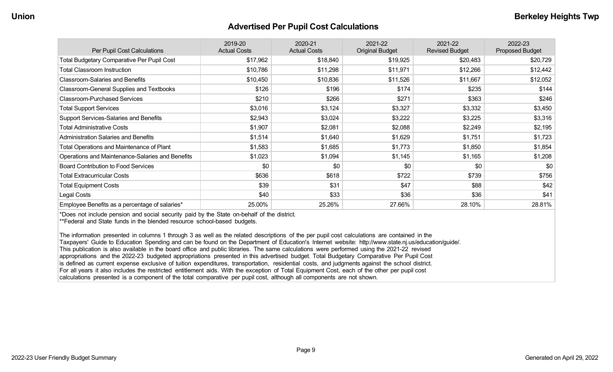#### **Advertised Per Pupil Cost Calculations**

| Per Pupil Cost Calculations                       | 2019-20<br><b>Actual Costs</b> | 2020-21<br><b>Actual Costs</b> | 2021-22<br><b>Original Budget</b> | 2021-22<br><b>Revised Budget</b> | 2022-23<br><b>Proposed Budget</b> |
|---------------------------------------------------|--------------------------------|--------------------------------|-----------------------------------|----------------------------------|-----------------------------------|
| <b>Total Budgetary Comparative Per Pupil Cost</b> | \$17,962                       | \$18,840                       | \$19,925                          | \$20,483                         | \$20,729                          |
| <b>Total Classroom Instruction</b>                | \$10,786                       | \$11,298                       | \$11,971                          | \$12,266                         | \$12,442                          |
| <b>Classroom-Salaries and Benefits</b>            | \$10,450                       | \$10,836                       | \$11,526                          | \$11,667                         | \$12,052                          |
| Classroom-General Supplies and Textbooks          | \$126                          | \$196                          | \$174                             | \$235                            | \$144                             |
| <b>Classroom-Purchased Services</b>               | \$210                          | \$266                          | \$271                             | \$363                            | \$246                             |
| <b>Total Support Services</b>                     | \$3,016                        | \$3,124                        | \$3,327                           | \$3,332                          | \$3,450                           |
| <b>Support Services-Salaries and Benefits</b>     | \$2,943                        | \$3,024                        | \$3,222                           | \$3,225                          | \$3,316                           |
| <b>Total Administrative Costs</b>                 | \$1,907                        | \$2,081                        | \$2,088                           | \$2,249                          | \$2,195                           |
| <b>Administration Salaries and Benefits</b>       | \$1,514                        | \$1,640                        | \$1,629                           | \$1,751                          | \$1,723                           |
| Total Operations and Maintenance of Plant         | \$1,583                        | \$1,685                        | \$1,773                           | \$1,850                          | \$1,854                           |
| Operations and Maintenance-Salaries and Benefits  | \$1,023                        | \$1,094                        | \$1,145                           | \$1,165                          | \$1,208                           |
| <b>Board Contribution to Food Services</b>        | \$0                            | \$0                            | \$0                               | \$0                              | \$0                               |
| <b>Total Extracurricular Costs</b>                | \$636                          | \$618                          | \$722                             | \$739                            | \$756                             |
| <b>Total Equipment Costs</b>                      | \$39                           | \$31                           | \$47                              | \$88                             | \$42                              |
| Legal Costs                                       | \$40                           | \$33                           | \$36                              | \$36                             | \$41                              |
| Employee Benefits as a percentage of salaries*    | 25.00%                         | 25.26%                         | 27.66%                            | 28.10%                           | 28.81%                            |

\*Does not include pension and social security paid by the State on-behalf of the district.

\*\*Federal and State funds in the blended resource school-based budgets.

The information presented in columns 1 through 3 as well as the related descriptions of the per pupil cost calculations are contained in the Taxpayers' Guide to Education Spending and can be found on the Department of Education's Internet website: http://www.state.nj.us/education/guide/. This publication is also available in the board office and public libraries. The same calculations were performed using the 2021-22 revised appropriations and the 2022-23 budgeted appropriations presented in this advertised budget. Total Budgetary Comparative Per Pupil Cost is defined as current expense exclusive of tuition expenditures, transportation, residential costs, and judgments against the school district. For all years it also includes the restricted entitlement aids. With the exception of Total Equipment Cost, each of the other per pupil cost calculations presented is a component of the total comparative per pupil cost, although all components are not shown.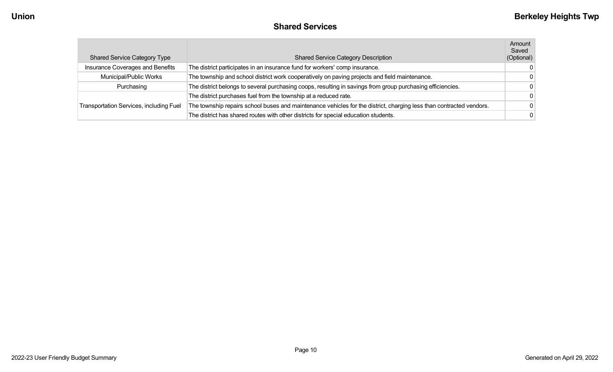#### **Shared Services**

| <b>Shared Service Category Type</b>            | <b>Shared Service Category Description</b>                                                                          | Amount<br>Saved<br>(Optional) |
|------------------------------------------------|---------------------------------------------------------------------------------------------------------------------|-------------------------------|
| Insurance Coverages and Benefits               | The district participates in an insurance fund for workers' comp insurance.                                         | $\Omega$                      |
| Municipal/Public Works                         | The township and school district work cooperatively on paving projects and field maintenance.                       | $\Omega$                      |
| Purchasing                                     | The district belongs to several purchasing coops, resulting in savings from group purchasing efficiencies.          | $\Omega$                      |
|                                                | The district purchases fuel from the township at a reduced rate.                                                    | $\Omega$                      |
| <b>Transportation Services, including Fuel</b> | The township repairs school buses and maintenance vehicles for the district, charging less than contracted vendors. | $\Omega$                      |
|                                                | The district has shared routes with other districts for special education students.                                 | $\Omega$                      |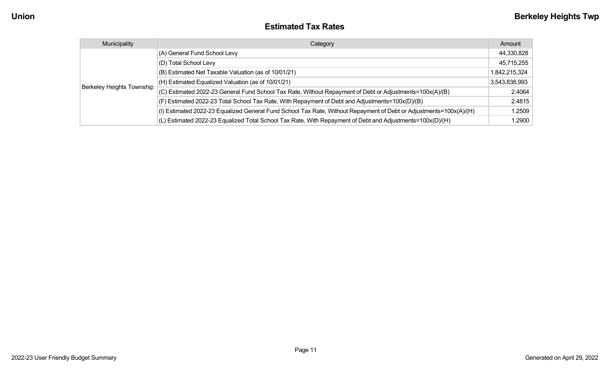#### **Estimated Tax Rates**

| Municipality              | Category                                                                                                           | Amount        |
|---------------------------|--------------------------------------------------------------------------------------------------------------------|---------------|
|                           | (A) General Fund School Levy                                                                                       | 44,330,828    |
|                           | (D) Total School Levy                                                                                              | 45,715,255    |
|                           | (B) Estimated Net Taxable Valuation (as of 10/01/21)                                                               | 1,842,215,324 |
|                           | $(H)$ Estimated Equalized Valuation (as of 10/01/21)                                                               | 3,543,838,993 |
| Berkeley Heights Township | (C) Estimated 2022-23 General Fund School Tax Rate, Without Repayment of Debt or Adjustments=100x(A)/(B)           | 2.4064        |
|                           | (F) Estimated 2022-23 Total School Tax Rate, With Repayment of Debt and Adjustments=100x(D)/(B)                    | 2.4815        |
|                           | (I) Estimated 2022-23 Equalized General Fund School Tax Rate, Without Repayment of Debt or Adjustments=100x(A)/(H) | 1.2509        |
|                           | (L) Estimated 2022-23 Equalized Total School Tax Rate, With Repayment of Debt and Adjustments=100x(D)/(H)          | 1.2900        |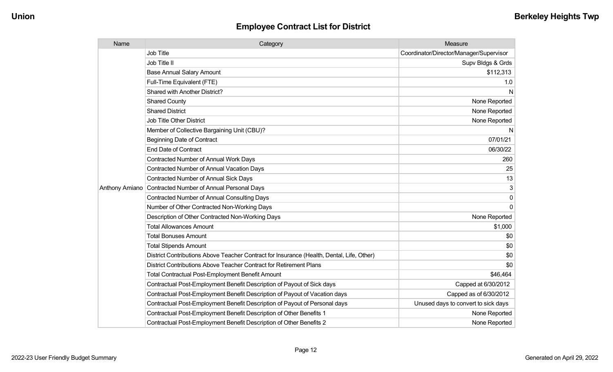| Name                  | Category                                                                                  | Measure                                 |
|-----------------------|-------------------------------------------------------------------------------------------|-----------------------------------------|
|                       | <b>Job Title</b>                                                                          | Coordinator/Director/Manager/Supervisor |
|                       | Job Title II                                                                              | Supv Bldgs & Grds                       |
|                       | <b>Base Annual Salary Amount</b>                                                          | \$112,313                               |
|                       | Full-Time Equivalent (FTE)                                                                | 1.0                                     |
|                       | Shared with Another District?                                                             | N                                       |
|                       | <b>Shared County</b>                                                                      | None Reported                           |
|                       | <b>Shared District</b>                                                                    | None Reported                           |
|                       | <b>Job Title Other District</b>                                                           | None Reported                           |
|                       | Member of Collective Bargaining Unit (CBU)?                                               | N                                       |
|                       | <b>Beginning Date of Contract</b>                                                         | 07/01/21                                |
|                       | <b>End Date of Contract</b>                                                               | 06/30/22                                |
|                       | <b>Contracted Number of Annual Work Days</b>                                              | 260                                     |
|                       | <b>Contracted Number of Annual Vacation Days</b>                                          | 25                                      |
|                       | <b>Contracted Number of Annual Sick Days</b>                                              | 13                                      |
| <b>Anthony Amiano</b> | Contracted Number of Annual Personal Days                                                 | 3                                       |
|                       | <b>Contracted Number of Annual Consulting Days</b>                                        | $\mathbf 0$                             |
|                       | Number of Other Contracted Non-Working Days                                               | $\Omega$                                |
|                       | Description of Other Contracted Non-Working Days                                          | None Reported                           |
|                       | <b>Total Allowances Amount</b>                                                            | \$1,000                                 |
|                       | <b>Total Bonuses Amount</b>                                                               | \$0                                     |
|                       | <b>Total Stipends Amount</b>                                                              | \$0                                     |
|                       | District Contributions Above Teacher Contract for Insurance (Health, Dental, Life, Other) | \$0                                     |
|                       | District Contributions Above Teacher Contract for Retirement Plans                        | \$0                                     |
|                       | Total Contractual Post-Employment Benefit Amount                                          | \$46,464                                |
|                       | Contractual Post-Employment Benefit Description of Payout of Sick days                    | Capped at 6/30/2012                     |
|                       | Contractual Post-Employment Benefit Description of Payout of Vacation days                | Capped as of 6/30/2012                  |
|                       | Contractual Post-Employment Benefit Description of Payout of Personal days                | Unused days to convert to sick days     |
|                       | Contractual Post-Employment Benefit Description of Other Benefits 1                       | None Reported                           |
|                       | Contractual Post-Employment Benefit Description of Other Benefits 2                       | None Reported                           |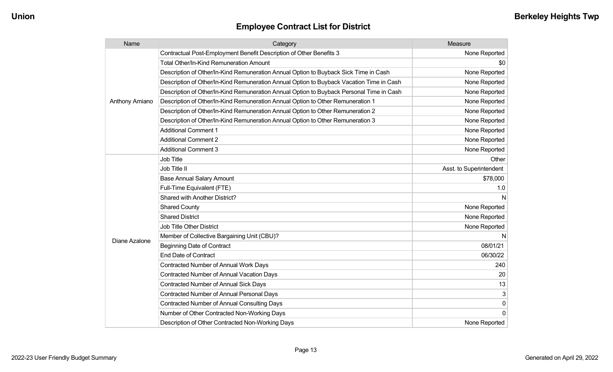| Name           | Category                                                                                 | Measure                 |
|----------------|------------------------------------------------------------------------------------------|-------------------------|
|                | Contractual Post-Employment Benefit Description of Other Benefits 3                      | None Reported           |
|                | Total Other/In-Kind Remuneration Amount                                                  | \$0                     |
|                | Description of Other/In-Kind Remuneration Annual Option to Buyback Sick Time in Cash     | None Reported           |
|                | Description of Other/In-Kind Remuneration Annual Option to Buyback Vacation Time in Cash | None Reported           |
|                | Description of Other/In-Kind Remuneration Annual Option to Buyback Personal Time in Cash | None Reported           |
| Anthony Amiano | Description of Other/In-Kind Remuneration Annual Option to Other Remuneration 1          | None Reported           |
|                | Description of Other/In-Kind Remuneration Annual Option to Other Remuneration 2          | None Reported           |
|                | Description of Other/In-Kind Remuneration Annual Option to Other Remuneration 3          | None Reported           |
|                | <b>Additional Comment 1</b>                                                              | None Reported           |
|                | <b>Additional Comment 2</b>                                                              | None Reported           |
|                | <b>Additional Comment 3</b>                                                              | None Reported           |
|                | Job Title                                                                                | Other                   |
|                | Job Title II                                                                             | Asst. to Superintendent |
|                | <b>Base Annual Salary Amount</b>                                                         | \$78,000                |
|                | Full-Time Equivalent (FTE)                                                               | 1.0                     |
|                | Shared with Another District?                                                            | N                       |
|                | <b>Shared County</b>                                                                     | None Reported           |
|                | <b>Shared District</b>                                                                   | None Reported           |
|                | <b>Job Title Other District</b>                                                          | None Reported           |
| Diane Azalone  | Member of Collective Bargaining Unit (CBU)?                                              | N                       |
|                | <b>Beginning Date of Contract</b>                                                        | 08/01/21                |
|                | <b>End Date of Contract</b>                                                              | 06/30/22                |
|                | <b>Contracted Number of Annual Work Days</b>                                             | 240                     |
|                | <b>Contracted Number of Annual Vacation Days</b>                                         | 20                      |
|                | Contracted Number of Annual Sick Days                                                    | 13                      |
|                | Contracted Number of Annual Personal Days                                                | 3                       |
|                | <b>Contracted Number of Annual Consulting Days</b>                                       | 0                       |
|                | Number of Other Contracted Non-Working Days                                              | 0                       |
|                | Description of Other Contracted Non-Working Days                                         | None Reported           |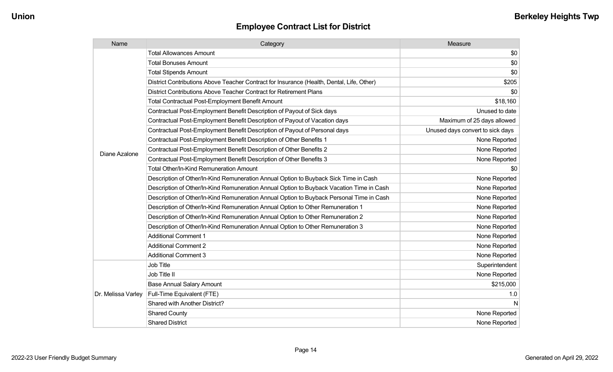| Name               | Category                                                                                  | Measure                          |
|--------------------|-------------------------------------------------------------------------------------------|----------------------------------|
|                    | <b>Total Allowances Amount</b>                                                            | \$0                              |
|                    | <b>Total Bonuses Amount</b>                                                               | \$0                              |
|                    | <b>Total Stipends Amount</b>                                                              | \$0                              |
|                    | District Contributions Above Teacher Contract for Insurance (Health, Dental, Life, Other) | \$205                            |
|                    | District Contributions Above Teacher Contract for Retirement Plans                        | \$0                              |
|                    | <b>Total Contractual Post-Employment Benefit Amount</b>                                   | \$18,160                         |
|                    | Contractual Post-Employment Benefit Description of Payout of Sick days                    | Unused to date                   |
|                    | Contractual Post-Employment Benefit Description of Payout of Vacation days                | Maximum of 25 days allowed       |
|                    | Contractual Post-Employment Benefit Description of Payout of Personal days                | Unused days convert to sick days |
|                    | Contractual Post-Employment Benefit Description of Other Benefits 1                       | None Reported                    |
| Diane Azalone      | Contractual Post-Employment Benefit Description of Other Benefits 2                       | None Reported                    |
|                    | Contractual Post-Employment Benefit Description of Other Benefits 3                       | None Reported                    |
|                    | <b>Total Other/In-Kind Remuneration Amount</b>                                            | \$0                              |
|                    | Description of Other/In-Kind Remuneration Annual Option to Buyback Sick Time in Cash      | None Reported                    |
|                    | Description of Other/In-Kind Remuneration Annual Option to Buyback Vacation Time in Cash  | None Reported                    |
|                    | Description of Other/In-Kind Remuneration Annual Option to Buyback Personal Time in Cash  | None Reported                    |
|                    | Description of Other/In-Kind Remuneration Annual Option to Other Remuneration 1           | None Reported                    |
|                    | Description of Other/In-Kind Remuneration Annual Option to Other Remuneration 2           | None Reported                    |
|                    | Description of Other/In-Kind Remuneration Annual Option to Other Remuneration 3           | None Reported                    |
|                    | <b>Additional Comment 1</b>                                                               | None Reported                    |
|                    | <b>Additional Comment 2</b>                                                               | None Reported                    |
|                    | <b>Additional Comment 3</b>                                                               | None Reported                    |
|                    | Job Title                                                                                 | Superintendent                   |
| Dr. Melissa Varley | Job Title II                                                                              | None Reported                    |
|                    | <b>Base Annual Salary Amount</b>                                                          | \$215,000                        |
|                    | Full-Time Equivalent (FTE)                                                                | 1.0                              |
|                    | Shared with Another District?                                                             | N                                |
|                    | <b>Shared County</b>                                                                      | None Reported                    |
|                    | <b>Shared District</b>                                                                    | None Reported                    |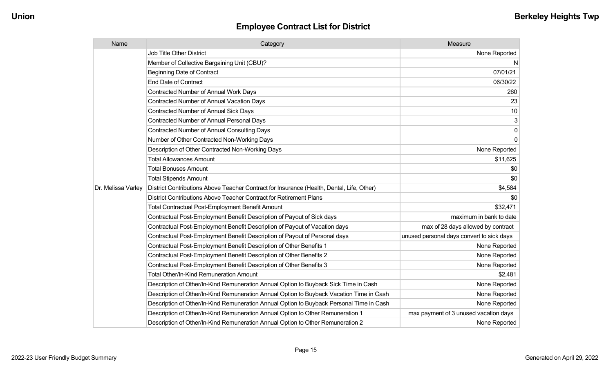| Name               | Category                                                                                  | Measure                                   |
|--------------------|-------------------------------------------------------------------------------------------|-------------------------------------------|
|                    | <b>Job Title Other District</b>                                                           | None Reported                             |
|                    | Member of Collective Bargaining Unit (CBU)?                                               | N                                         |
|                    | <b>Beginning Date of Contract</b>                                                         | 07/01/21                                  |
|                    | <b>End Date of Contract</b>                                                               | 06/30/22                                  |
|                    | <b>Contracted Number of Annual Work Days</b>                                              | 260                                       |
|                    | <b>Contracted Number of Annual Vacation Days</b>                                          | 23                                        |
|                    | <b>Contracted Number of Annual Sick Days</b>                                              | 10                                        |
|                    | <b>Contracted Number of Annual Personal Days</b>                                          | 3                                         |
|                    | <b>Contracted Number of Annual Consulting Days</b>                                        | 0                                         |
|                    | Number of Other Contracted Non-Working Days                                               | $\mathbf 0$                               |
|                    | Description of Other Contracted Non-Working Days                                          | None Reported                             |
|                    | <b>Total Allowances Amount</b>                                                            | \$11,625                                  |
|                    | <b>Total Bonuses Amount</b>                                                               | \$0                                       |
|                    | <b>Total Stipends Amount</b>                                                              | \$0                                       |
| Dr. Melissa Varley | District Contributions Above Teacher Contract for Insurance (Health, Dental, Life, Other) | \$4,584                                   |
|                    | District Contributions Above Teacher Contract for Retirement Plans                        | \$0                                       |
|                    | <b>Total Contractual Post-Employment Benefit Amount</b>                                   | \$32,471                                  |
|                    | Contractual Post-Employment Benefit Description of Payout of Sick days                    | maximum in bank to date                   |
|                    | Contractual Post-Employment Benefit Description of Payout of Vacation days                | max of 28 days allowed by contract        |
|                    | Contractual Post-Employment Benefit Description of Payout of Personal days                | unused personal days convert to sick days |
|                    | Contractual Post-Employment Benefit Description of Other Benefits 1                       | None Reported                             |
|                    | Contractual Post-Employment Benefit Description of Other Benefits 2                       | None Reported                             |
|                    | Contractual Post-Employment Benefit Description of Other Benefits 3                       | None Reported                             |
|                    | Total Other/In-Kind Remuneration Amount                                                   | \$2,481                                   |
|                    | Description of Other/In-Kind Remuneration Annual Option to Buyback Sick Time in Cash      | None Reported                             |
|                    | Description of Other/In-Kind Remuneration Annual Option to Buyback Vacation Time in Cash  | None Reported                             |
|                    | Description of Other/In-Kind Remuneration Annual Option to Buyback Personal Time in Cash  | None Reported                             |
|                    | Description of Other/In-Kind Remuneration Annual Option to Other Remuneration 1           | max payment of 3 unused vacation days     |
|                    | Description of Other/In-Kind Remuneration Annual Option to Other Remuneration 2           | None Reported                             |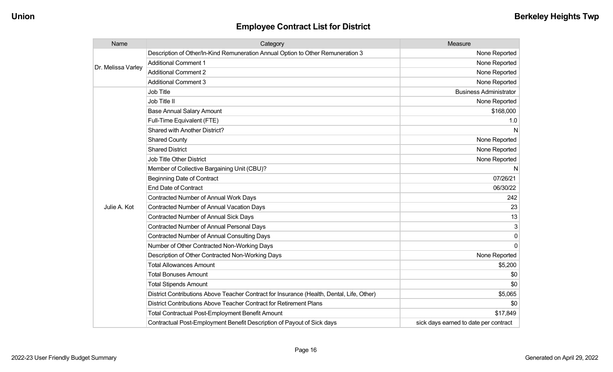| Name               | Category                                                                                  | Measure                               |
|--------------------|-------------------------------------------------------------------------------------------|---------------------------------------|
|                    | Description of Other/In-Kind Remuneration Annual Option to Other Remuneration 3           | None Reported                         |
| Dr. Melissa Varley | <b>Additional Comment 1</b>                                                               | None Reported                         |
|                    | <b>Additional Comment 2</b>                                                               | None Reported                         |
|                    | <b>Additional Comment 3</b>                                                               | None Reported                         |
|                    | <b>Job Title</b>                                                                          | <b>Business Administrator</b>         |
|                    | Job Title II                                                                              | None Reported                         |
|                    | <b>Base Annual Salary Amount</b>                                                          | \$168,000                             |
|                    | Full-Time Equivalent (FTE)                                                                | 1.0                                   |
|                    | Shared with Another District?                                                             | N                                     |
|                    | <b>Shared County</b>                                                                      | None Reported                         |
|                    | <b>Shared District</b>                                                                    | None Reported                         |
|                    | Job Title Other District                                                                  | None Reported                         |
|                    | Member of Collective Bargaining Unit (CBU)?                                               | N                                     |
|                    | <b>Beginning Date of Contract</b>                                                         | 07/26/21                              |
|                    | <b>End Date of Contract</b>                                                               | 06/30/22                              |
|                    | <b>Contracted Number of Annual Work Days</b>                                              | 242                                   |
| Julie A. Kot       | <b>Contracted Number of Annual Vacation Days</b>                                          | 23                                    |
|                    | Contracted Number of Annual Sick Days                                                     | 13                                    |
|                    | <b>Contracted Number of Annual Personal Days</b>                                          | 3                                     |
|                    | <b>Contracted Number of Annual Consulting Days</b>                                        | $\Omega$                              |
|                    | Number of Other Contracted Non-Working Days                                               | $\Omega$                              |
|                    | Description of Other Contracted Non-Working Days                                          | None Reported                         |
|                    | <b>Total Allowances Amount</b>                                                            | \$5,200                               |
|                    | <b>Total Bonuses Amount</b>                                                               | \$0                                   |
|                    | <b>Total Stipends Amount</b>                                                              | \$0                                   |
|                    | District Contributions Above Teacher Contract for Insurance (Health, Dental, Life, Other) | \$5,065                               |
|                    | District Contributions Above Teacher Contract for Retirement Plans                        | \$0                                   |
|                    | <b>Total Contractual Post-Employment Benefit Amount</b>                                   | \$17,849                              |
|                    | Contractual Post-Employment Benefit Description of Payout of Sick days                    | sick days earned to date per contract |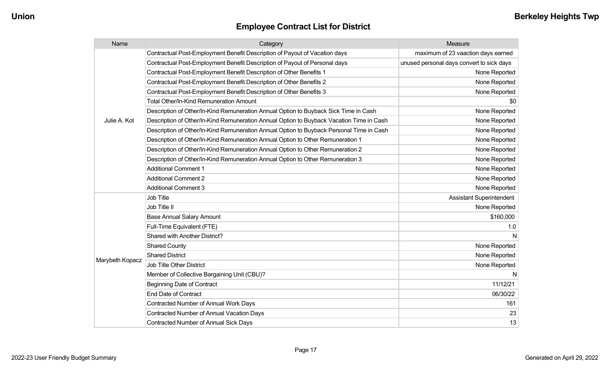| Name            | Category                                                                                 | Measure                                   |
|-----------------|------------------------------------------------------------------------------------------|-------------------------------------------|
|                 | Contractual Post-Employment Benefit Description of Payout of Vacation days               | maximum of 23 vaaction days earned        |
|                 | Contractual Post-Employment Benefit Description of Payout of Personal days               | unused personal days convert to sick days |
|                 | Contractual Post-Employment Benefit Description of Other Benefits 1                      | None Reported                             |
|                 | Contractual Post-Employment Benefit Description of Other Benefits 2                      | None Reported                             |
|                 | Contractual Post-Employment Benefit Description of Other Benefits 3                      | None Reported                             |
|                 | <b>Total Other/In-Kind Remuneration Amount</b>                                           | \$0                                       |
|                 | Description of Other/In-Kind Remuneration Annual Option to Buyback Sick Time in Cash     | None Reported                             |
| Julie A. Kot    | Description of Other/In-Kind Remuneration Annual Option to Buyback Vacation Time in Cash | None Reported                             |
|                 | Description of Other/In-Kind Remuneration Annual Option to Buyback Personal Time in Cash | None Reported                             |
|                 | Description of Other/In-Kind Remuneration Annual Option to Other Remuneration 1          | None Reported                             |
|                 | Description of Other/In-Kind Remuneration Annual Option to Other Remuneration 2          | None Reported                             |
|                 | Description of Other/In-Kind Remuneration Annual Option to Other Remuneration 3          | None Reported                             |
|                 | <b>Additional Comment 1</b>                                                              | None Reported                             |
|                 | <b>Additional Comment 2</b>                                                              | None Reported                             |
|                 | <b>Additional Comment 3</b>                                                              | None Reported                             |
|                 | Job Title                                                                                | Assistant Superintendent                  |
|                 | Job Title II                                                                             | None Reported                             |
|                 | <b>Base Annual Salary Amount</b>                                                         | \$160,000                                 |
|                 | Full-Time Equivalent (FTE)                                                               | 1.0                                       |
|                 | Shared with Another District?                                                            | N                                         |
|                 | <b>Shared County</b>                                                                     | None Reported                             |
|                 | <b>Shared District</b>                                                                   | None Reported                             |
| Marybeth Kopacz | Job Title Other District                                                                 | None Reported                             |
|                 | Member of Collective Bargaining Unit (CBU)?                                              | N                                         |
|                 | <b>Beginning Date of Contract</b>                                                        | 11/12/21                                  |
|                 | <b>End Date of Contract</b>                                                              | 06/30/22                                  |
|                 | Contracted Number of Annual Work Days                                                    | 161                                       |
|                 | <b>Contracted Number of Annual Vacation Days</b>                                         | 23                                        |
|                 | <b>Contracted Number of Annual Sick Days</b>                                             | 13                                        |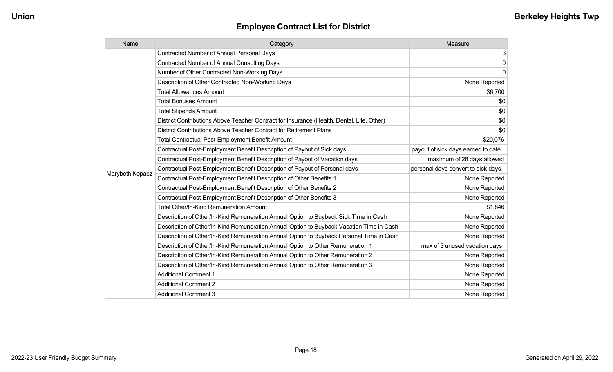| Name            | Category                                                                                  | Measure                            |
|-----------------|-------------------------------------------------------------------------------------------|------------------------------------|
|                 | <b>Contracted Number of Annual Personal Days</b>                                          | 3                                  |
|                 | <b>Contracted Number of Annual Consulting Days</b>                                        | $\pmb{0}$                          |
|                 | Number of Other Contracted Non-Working Days                                               | $\mathbf 0$                        |
|                 | Description of Other Contracted Non-Working Days                                          | None Reported                      |
|                 | <b>Total Allowances Amount</b>                                                            | \$6,700                            |
|                 | <b>Total Bonuses Amount</b>                                                               | \$0                                |
|                 | <b>Total Stipends Amount</b>                                                              | \$0                                |
|                 | District Contributions Above Teacher Contract for Insurance (Health, Dental, Life, Other) | \$0                                |
|                 | District Contributions Above Teacher Contract for Retirement Plans                        | \$0                                |
|                 | <b>Total Contractual Post-Employment Benefit Amount</b>                                   | \$20,076                           |
|                 | Contractual Post-Employment Benefit Description of Payout of Sick days                    | payout of sick days earned to date |
|                 | Contractual Post-Employment Benefit Description of Payout of Vacation days                | maximum of 28 days allowed         |
|                 | Contractual Post-Employment Benefit Description of Payout of Personal days                | personal days convert to sick days |
| Marybeth Kopacz | Contractual Post-Employment Benefit Description of Other Benefits 1                       | None Reported                      |
|                 | Contractual Post-Employment Benefit Description of Other Benefits 2                       | None Reported                      |
|                 | Contractual Post-Employment Benefit Description of Other Benefits 3                       | None Reported                      |
|                 | <b>Total Other/In-Kind Remuneration Amount</b>                                            | \$1,846                            |
|                 | Description of Other/In-Kind Remuneration Annual Option to Buyback Sick Time in Cash      | None Reported                      |
|                 | Description of Other/In-Kind Remuneration Annual Option to Buyback Vacation Time in Cash  | None Reported                      |
|                 | Description of Other/In-Kind Remuneration Annual Option to Buyback Personal Time in Cash  | None Reported                      |
|                 | Description of Other/In-Kind Remuneration Annual Option to Other Remuneration 1           | max of 3 unused vacation days      |
|                 | Description of Other/In-Kind Remuneration Annual Option to Other Remuneration 2           | None Reported                      |
|                 | Description of Other/In-Kind Remuneration Annual Option to Other Remuneration 3           | None Reported                      |
|                 | <b>Additional Comment 1</b>                                                               | None Reported                      |
|                 | <b>Additional Comment 2</b>                                                               | None Reported                      |
|                 | <b>Additional Comment 3</b>                                                               | None Reported                      |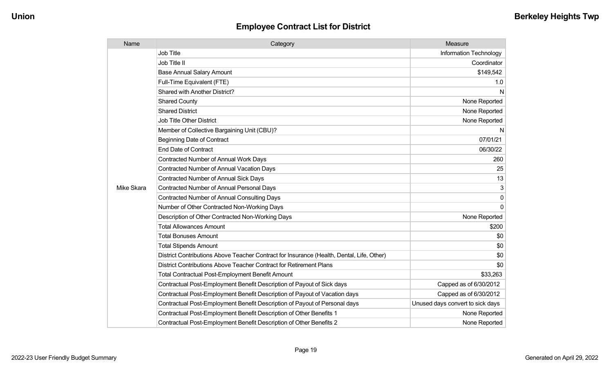| Name       | Category                                                                                  | Measure                          |
|------------|-------------------------------------------------------------------------------------------|----------------------------------|
|            | <b>Job Title</b>                                                                          | Information Technology           |
|            | Job Title II                                                                              | Coordinator                      |
|            | <b>Base Annual Salary Amount</b>                                                          | \$149,542                        |
|            | Full-Time Equivalent (FTE)                                                                | 1.0                              |
|            | Shared with Another District?                                                             | N                                |
|            | <b>Shared County</b>                                                                      | None Reported                    |
|            | <b>Shared District</b>                                                                    | None Reported                    |
|            | <b>Job Title Other District</b>                                                           | None Reported                    |
|            | Member of Collective Bargaining Unit (CBU)?                                               | N                                |
|            | <b>Beginning Date of Contract</b>                                                         | 07/01/21                         |
|            | <b>End Date of Contract</b>                                                               | 06/30/22                         |
|            | <b>Contracted Number of Annual Work Days</b>                                              | 260                              |
|            | <b>Contracted Number of Annual Vacation Days</b>                                          | 25                               |
|            | <b>Contracted Number of Annual Sick Days</b>                                              | 13                               |
| Mike Skara | <b>Contracted Number of Annual Personal Days</b>                                          | 3                                |
|            | <b>Contracted Number of Annual Consulting Days</b>                                        | $\mathbf 0$                      |
|            | Number of Other Contracted Non-Working Days                                               | $\Omega$                         |
|            | Description of Other Contracted Non-Working Days                                          | None Reported                    |
|            | <b>Total Allowances Amount</b>                                                            | \$200                            |
|            | <b>Total Bonuses Amount</b>                                                               | \$0                              |
|            | <b>Total Stipends Amount</b>                                                              | \$0                              |
|            | District Contributions Above Teacher Contract for Insurance (Health, Dental, Life, Other) | \$0                              |
|            | District Contributions Above Teacher Contract for Retirement Plans                        | \$0                              |
|            | <b>Total Contractual Post-Employment Benefit Amount</b>                                   | \$33,263                         |
|            | Contractual Post-Employment Benefit Description of Payout of Sick days                    | Capped as of 6/30/2012           |
|            | Contractual Post-Employment Benefit Description of Payout of Vacation days                | Capped as of 6/30/2012           |
|            | Contractual Post-Employment Benefit Description of Payout of Personal days                | Unused days convert to sick days |
|            | Contractual Post-Employment Benefit Description of Other Benefits 1                       | None Reported                    |
|            | Contractual Post-Employment Benefit Description of Other Benefits 2                       | None Reported                    |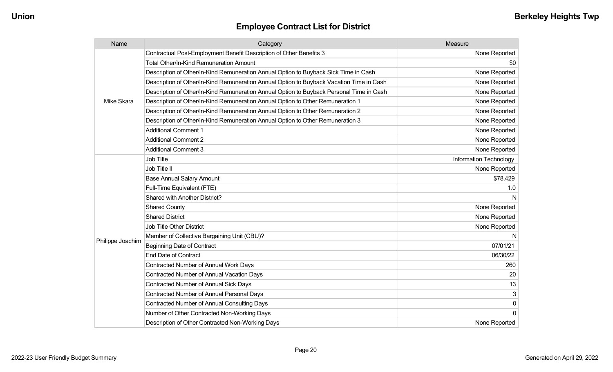| Name             | Category                                                                                 | Measure                |
|------------------|------------------------------------------------------------------------------------------|------------------------|
|                  | Contractual Post-Employment Benefit Description of Other Benefits 3                      | None Reported          |
|                  | Total Other/In-Kind Remuneration Amount                                                  | \$0                    |
|                  | Description of Other/In-Kind Remuneration Annual Option to Buyback Sick Time in Cash     | None Reported          |
|                  | Description of Other/In-Kind Remuneration Annual Option to Buyback Vacation Time in Cash | None Reported          |
|                  | Description of Other/In-Kind Remuneration Annual Option to Buyback Personal Time in Cash | None Reported          |
| Mike Skara       | Description of Other/In-Kind Remuneration Annual Option to Other Remuneration 1          | None Reported          |
|                  | Description of Other/In-Kind Remuneration Annual Option to Other Remuneration 2          | None Reported          |
|                  | Description of Other/In-Kind Remuneration Annual Option to Other Remuneration 3          | None Reported          |
|                  | <b>Additional Comment 1</b>                                                              | None Reported          |
|                  | <b>Additional Comment 2</b>                                                              | None Reported          |
|                  | <b>Additional Comment 3</b>                                                              | None Reported          |
|                  | <b>Job Title</b>                                                                         | Information Technology |
|                  | Job Title II                                                                             | None Reported          |
|                  | <b>Base Annual Salary Amount</b>                                                         | \$78,429               |
|                  | Full-Time Equivalent (FTE)                                                               | 1.0                    |
|                  | Shared with Another District?                                                            | N                      |
|                  | <b>Shared County</b>                                                                     | None Reported          |
|                  | <b>Shared District</b>                                                                   | None Reported          |
|                  | Job Title Other District                                                                 | None Reported          |
|                  | Member of Collective Bargaining Unit (CBU)?                                              | N                      |
| Philippe Joachim | <b>Beginning Date of Contract</b>                                                        | 07/01/21               |
|                  | <b>End Date of Contract</b>                                                              | 06/30/22               |
|                  | <b>Contracted Number of Annual Work Days</b>                                             | 260                    |
|                  | <b>Contracted Number of Annual Vacation Days</b>                                         | 20                     |
|                  | Contracted Number of Annual Sick Days                                                    | 13                     |
|                  | Contracted Number of Annual Personal Days                                                | 3                      |
|                  | <b>Contracted Number of Annual Consulting Days</b>                                       | $\mathsf{O}\xspace$    |
|                  | Number of Other Contracted Non-Working Days                                              | $\mathbf 0$            |
|                  | Description of Other Contracted Non-Working Days                                         | None Reported          |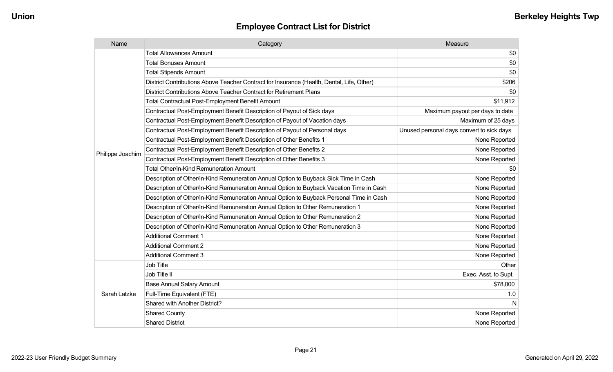| Name             | Category                                                                                  | Measure                                   |
|------------------|-------------------------------------------------------------------------------------------|-------------------------------------------|
|                  | <b>Total Allowances Amount</b>                                                            | \$0                                       |
|                  | <b>Total Bonuses Amount</b>                                                               | \$0                                       |
|                  | <b>Total Stipends Amount</b>                                                              | \$0                                       |
|                  | District Contributions Above Teacher Contract for Insurance (Health, Dental, Life, Other) | \$206                                     |
|                  | District Contributions Above Teacher Contract for Retirement Plans                        | \$0                                       |
|                  | <b>Total Contractual Post-Employment Benefit Amount</b>                                   | \$11,912                                  |
|                  | Contractual Post-Employment Benefit Description of Payout of Sick days                    | Maximum payout per days to date           |
|                  | Contractual Post-Employment Benefit Description of Payout of Vacation days                | Maximum of 25 days                        |
|                  | Contractual Post-Employment Benefit Description of Payout of Personal days                | Unused personal days convert to sick days |
|                  | Contractual Post-Employment Benefit Description of Other Benefits 1                       | None Reported                             |
| Philippe Joachim | Contractual Post-Employment Benefit Description of Other Benefits 2                       | None Reported                             |
|                  | Contractual Post-Employment Benefit Description of Other Benefits 3                       | None Reported                             |
|                  | Total Other/In-Kind Remuneration Amount                                                   | \$0                                       |
|                  | Description of Other/In-Kind Remuneration Annual Option to Buyback Sick Time in Cash      | None Reported                             |
|                  | Description of Other/In-Kind Remuneration Annual Option to Buyback Vacation Time in Cash  | None Reported                             |
|                  | Description of Other/In-Kind Remuneration Annual Option to Buyback Personal Time in Cash  | None Reported                             |
|                  | Description of Other/In-Kind Remuneration Annual Option to Other Remuneration 1           | None Reported                             |
|                  | Description of Other/In-Kind Remuneration Annual Option to Other Remuneration 2           | None Reported                             |
|                  | Description of Other/In-Kind Remuneration Annual Option to Other Remuneration 3           | None Reported                             |
|                  | <b>Additional Comment 1</b>                                                               | None Reported                             |
|                  | <b>Additional Comment 2</b>                                                               | None Reported                             |
|                  | <b>Additional Comment 3</b>                                                               | None Reported                             |
|                  | Job Title                                                                                 | Other                                     |
|                  | Job Title II                                                                              | Exec. Asst. to Supt.                      |
|                  | <b>Base Annual Salary Amount</b>                                                          | \$78,000                                  |
| Sarah Latzke     | Full-Time Equivalent (FTE)                                                                | 1.0                                       |
|                  | Shared with Another District?                                                             | N                                         |
|                  | <b>Shared County</b>                                                                      | None Reported                             |
|                  | <b>Shared District</b>                                                                    | None Reported                             |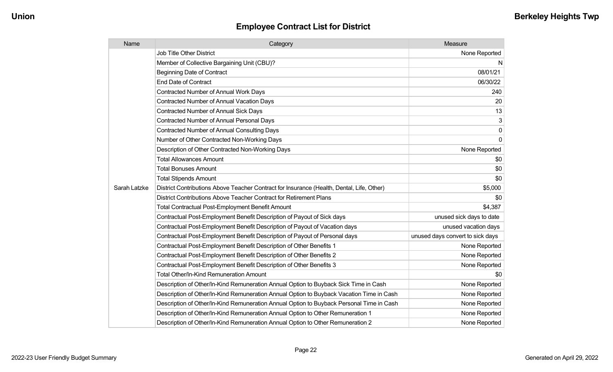| Name         | Category                                                                                  | Measure                          |
|--------------|-------------------------------------------------------------------------------------------|----------------------------------|
|              | Job Title Other District                                                                  | None Reported                    |
|              | Member of Collective Bargaining Unit (CBU)?                                               | N                                |
|              | <b>Beginning Date of Contract</b>                                                         | 08/01/21                         |
|              | <b>End Date of Contract</b>                                                               | 06/30/22                         |
|              | Contracted Number of Annual Work Days                                                     | 240                              |
|              | <b>Contracted Number of Annual Vacation Days</b>                                          | 20                               |
|              | <b>Contracted Number of Annual Sick Days</b>                                              | 13                               |
|              | <b>Contracted Number of Annual Personal Days</b>                                          | 3                                |
|              | <b>Contracted Number of Annual Consulting Days</b>                                        | $\mathbf 0$                      |
|              | Number of Other Contracted Non-Working Days                                               | $\mathbf 0$                      |
|              | Description of Other Contracted Non-Working Days                                          | None Reported                    |
|              | <b>Total Allowances Amount</b>                                                            | \$0                              |
|              | <b>Total Bonuses Amount</b>                                                               | \$0                              |
|              | <b>Total Stipends Amount</b>                                                              | \$0                              |
| Sarah Latzke | District Contributions Above Teacher Contract for Insurance (Health, Dental, Life, Other) | \$5,000                          |
|              | District Contributions Above Teacher Contract for Retirement Plans                        | \$0                              |
|              | <b>Total Contractual Post-Employment Benefit Amount</b>                                   | \$4,387                          |
|              | Contractual Post-Employment Benefit Description of Payout of Sick days                    | unused sick days to date         |
|              | Contractual Post-Employment Benefit Description of Payout of Vacation days                | unused vacation days             |
|              | Contractual Post-Employment Benefit Description of Payout of Personal days                | unused days convert to sick days |
|              | Contractual Post-Employment Benefit Description of Other Benefits 1                       | None Reported                    |
|              | Contractual Post-Employment Benefit Description of Other Benefits 2                       | None Reported                    |
|              | Contractual Post-Employment Benefit Description of Other Benefits 3                       | None Reported                    |
|              | <b>Total Other/In-Kind Remuneration Amount</b>                                            | \$0                              |
|              | Description of Other/In-Kind Remuneration Annual Option to Buyback Sick Time in Cash      | None Reported                    |
|              | Description of Other/In-Kind Remuneration Annual Option to Buyback Vacation Time in Cash  | None Reported                    |
|              | Description of Other/In-Kind Remuneration Annual Option to Buyback Personal Time in Cash  | None Reported                    |
|              | Description of Other/In-Kind Remuneration Annual Option to Other Remuneration 1           | None Reported                    |
|              | Description of Other/In-Kind Remuneration Annual Option to Other Remuneration 2           | None Reported                    |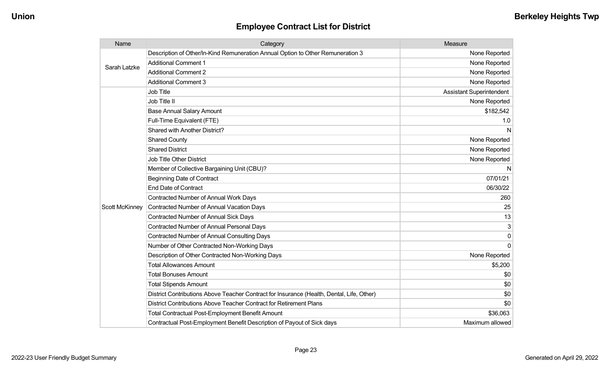| Name                  | Category                                                                                  | Measure                         |
|-----------------------|-------------------------------------------------------------------------------------------|---------------------------------|
| Sarah Latzke          | Description of Other/In-Kind Remuneration Annual Option to Other Remuneration 3           | None Reported                   |
|                       | <b>Additional Comment 1</b>                                                               | None Reported                   |
|                       | <b>Additional Comment 2</b>                                                               | None Reported                   |
|                       | <b>Additional Comment 3</b>                                                               | None Reported                   |
|                       | <b>Job Title</b>                                                                          | <b>Assistant Superintendent</b> |
|                       | Job Title II                                                                              | None Reported                   |
|                       | <b>Base Annual Salary Amount</b>                                                          | \$182,542                       |
|                       | Full-Time Equivalent (FTE)                                                                | 1.0                             |
|                       | Shared with Another District?                                                             | N                               |
|                       | <b>Shared County</b>                                                                      | None Reported                   |
|                       | <b>Shared District</b>                                                                    | None Reported                   |
|                       | <b>Job Title Other District</b>                                                           | None Reported                   |
|                       | Member of Collective Bargaining Unit (CBU)?                                               | N                               |
|                       | <b>Beginning Date of Contract</b>                                                         | 07/01/21                        |
|                       | <b>End Date of Contract</b>                                                               | 06/30/22                        |
|                       | Contracted Number of Annual Work Days                                                     | 260                             |
| <b>Scott McKinney</b> | <b>Contracted Number of Annual Vacation Days</b>                                          | 25                              |
|                       | <b>Contracted Number of Annual Sick Days</b>                                              | 13                              |
|                       | <b>Contracted Number of Annual Personal Days</b>                                          | 3                               |
|                       | <b>Contracted Number of Annual Consulting Days</b>                                        | 0                               |
|                       | Number of Other Contracted Non-Working Days                                               | $\Omega$                        |
|                       | Description of Other Contracted Non-Working Days                                          | None Reported                   |
|                       | <b>Total Allowances Amount</b>                                                            | \$5,200                         |
|                       | <b>Total Bonuses Amount</b>                                                               | \$0                             |
|                       | <b>Total Stipends Amount</b>                                                              | \$0                             |
|                       | District Contributions Above Teacher Contract for Insurance (Health, Dental, Life, Other) | \$0                             |
|                       | District Contributions Above Teacher Contract for Retirement Plans                        | \$0                             |
|                       | <b>Total Contractual Post-Employment Benefit Amount</b>                                   | \$36,063                        |
|                       | Contractual Post-Employment Benefit Description of Payout of Sick days                    | Maximum allowed                 |